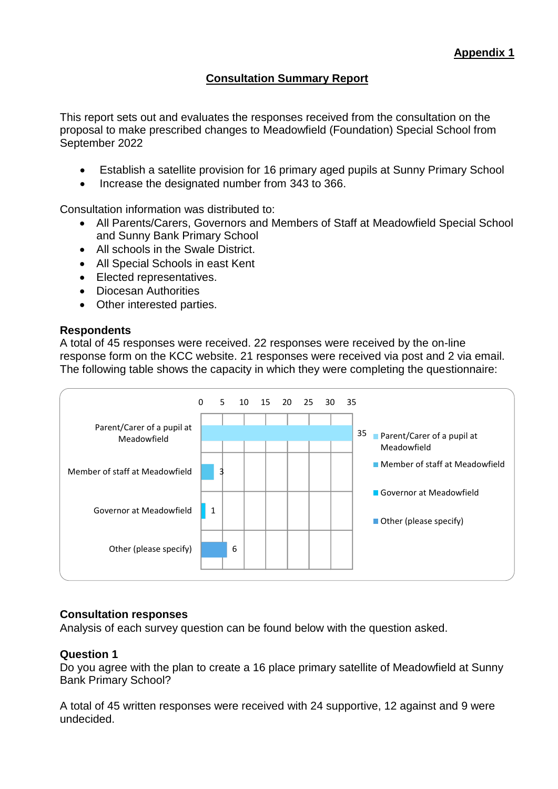# **Consultation Summary Report**

This report sets out and evaluates the responses received from the consultation on the proposal to make prescribed changes to Meadowfield (Foundation) Special School from September 2022

- Establish a satellite provision for 16 primary aged pupils at Sunny Primary School
- Increase the designated number from 343 to 366.

Consultation information was distributed to:

- All Parents/Carers, Governors and Members of Staff at Meadowfield Special School and Sunny Bank Primary School
- All schools in the Swale District.
- All Special Schools in east Kent
- Elected representatives.
- Diocesan Authorities
- Other interested parties.

### **Respondents**

A total of 45 responses were received. 22 responses were received by the on-line response form on the KCC website. 21 responses were received via post and 2 via email. The following table shows the capacity in which they were completing the questionnaire:



## **Consultation responses**

Analysis of each survey question can be found below with the question asked.

## **Question 1**

Do you agree with the plan to create a 16 place primary satellite of Meadowfield at Sunny Bank Primary School?

A total of 45 written responses were received with 24 supportive, 12 against and 9 were undecided.